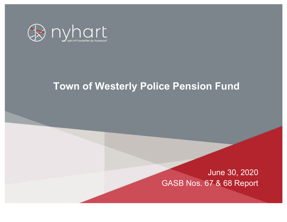

# **Town of Westerly Police Pension Fund**

June 30, 2020 GASB Nos. 67 & 68 Report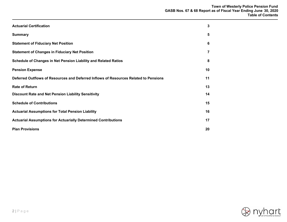| <b>Actuarial Certification</b>                                                       | 3  |
|--------------------------------------------------------------------------------------|----|
| <b>Summary</b>                                                                       | 5  |
| <b>Statement of Fiduciary Net Position</b>                                           | 6  |
| <b>Statement of Changes in Fiduciary Net Position</b>                                | 7  |
| Schedule of Changes in Net Pension Liability and Related Ratios                      | 8  |
| <b>Pension Expense</b>                                                               | 10 |
| Deferred Outflows of Resources and Deferred Inflows of Resources Related to Pensions | 11 |
| <b>Rate of Return</b>                                                                | 13 |
| <b>Discount Rate and Net Pension Liability Sensitivity</b>                           | 14 |
| <b>Schedule of Contributions</b>                                                     | 15 |
| <b>Actuarial Assumptions for Total Pension Liability</b>                             | 16 |
| <b>Actuarial Assumptions for Actuarially Determined Contributions</b>                | 17 |
| <b>Plan Provisions</b>                                                               | 20 |

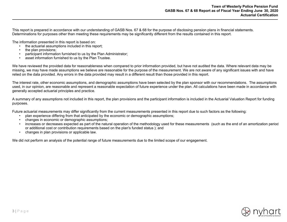This report is prepared in accordance with our understanding of GASB Nos. 67 & 68 for the purpose of disclosing pension plans in financial statements. Determinations for purposes other than meeting these requirements may be significantly different from the results contained in this report.

The information presented in this report is based on:

- the actuarial assumptions included in this report;
- the plan provisions;
- participant information furnished to us by the Plan Administrator;
- asset information furnished to us by the Plan Trustee.

We have reviewed the provided data for reasonableness when compared to prior information provided, but have not audited the data. Where relevant data may be missing, we may have made assumptions we believe are reasonable for the purpose of the measurement. We are not aware of any significant issues with and have relied on the data provided. Any errors in the data provided may result in a different result than those provided in this report.

The interest rate, other economic assumptions, and demographic assumptions have been selected by the plan sponsor with our recommendations. The assumptions used, in our opinion, are reasonable and represent a reasonable expectation of future experience under the plan. All calculations have been made in accordance with generally accepted actuarial principles and practice.

A summary of any assumptions not included in this report, the plan provisions and the participant information is included in the Actuarial Valuation Report for funding purposes.

Future actuarial measurements may differ significantly from the current measurements presented in this report due to such factors as the following:

- plan experience differing from that anticipated by the economic or demographic assumptions;
- changes in economic or demographic assumptions;
- increases or decreases expected as part of the natural operation of the methodology used for these measurements (such as the end of an amortization period or additional cost or contribution requirements based on the plan's funded status ); and
- changes in plan provisions or applicable law.

We did not perform an analysis of the potential range of future measurements due to the limited scope of our engagement.

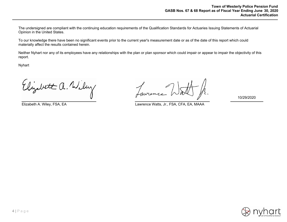The undersigned are compliant with the continuing education requirements of the Qualification Standards for Actuaries Issuing Statements of Actuarial Opinion in the United States.

To our knowledge there have been no significant events prior to the current year's measurement date or as of the date of this report which could materially affect the results contained herein.

Neither Nyhart nor any of its employees have any relationships with the plan or plan sponsor which could impair or appear to impair the objectivity of this report.

Nyhart

Elizabet a. Wiley

Elizabeth A. Wiley, FSA, EA Lawrence Watts, Jr., FSA, CFA, EA, MAAA

10/29/2020

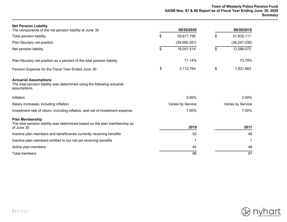| <b>Net Pension Liability</b><br>The components of the net pension liability at June 30                                  | 06/30/2020        | 06/30/2019        |
|-------------------------------------------------------------------------------------------------------------------------|-------------------|-------------------|
| Total pension liability                                                                                                 | \$<br>55,617,795  | \$<br>51,835,111  |
| Plan fiduciary net position                                                                                             | (39, 566, 281)    | (38, 247, 039)    |
| Net pension liability                                                                                                   | \$<br>16,051,514  | \$<br>13,588,072  |
| Plan fiduciary net position as a percent of the total pension liability                                                 | 71.14%            | 73.79%            |
| Pension Expense for the Fiscal Year Ended June 30                                                                       | \$<br>2,112,764   | \$<br>1,821,963   |
| <b>Actuarial Assumptions</b><br>The total pension liability was determined using the following actuarial<br>assumptions |                   |                   |
| Inflation                                                                                                               | 2.00%             | 2.00%             |
| Salary increases, including inflation                                                                                   | Varies by Service | Varies by Service |
| Investment rate of return, including inflation, and net of investment expense                                           | 7.00%             | 7.00%             |
| <b>Plan Membership</b><br>The total pension liability was determined based on the plan membership as<br>of June 30      | 2019              | 2017              |
| Inactive plan members and beneficiaries currently receiving benefits                                                    | 52                | 48                |
| Inactive plan members entitled to but not yet receiving benefits                                                        | 1                 | -1                |
| Active plan members                                                                                                     | 45                | 48                |
| <b>Total members</b>                                                                                                    | 98                | 97                |

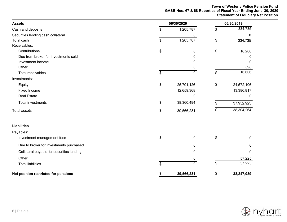#### **Town of Westerly Police Pension Fund GASB Nos. 67 & 68 Report as of Fiscal Year Ending June 30, 2020 Statement of Fiduciary Net Position**

| <b>Assets</b>                             | 06/30/2020        |    |              |  |
|-------------------------------------------|-------------------|----|--------------|--|
| Cash and deposits                         | \$<br>1,205,787   | \$ | 334,735      |  |
| Securities lending cash collateral        | 0                 |    | $\mathbf{0}$ |  |
| Total cash                                | \$<br>1,205,787   | \$ | 334,735      |  |
| Receivables:                              |                   |    |              |  |
| Contributions                             | \$<br>0           | \$ | 16,208       |  |
| Due from broker for investments sold      | 0                 |    | 0            |  |
| Investment income                         | 0                 |    | 0            |  |
| Other                                     | 0                 |    | 398          |  |
| Total receivables                         | \$<br>$\mathbf 0$ | \$ | 16,606       |  |
| Investments:                              |                   |    |              |  |
| Equity                                    | \$<br>25,701,126  | \$ | 24,572,106   |  |
| <b>Fixed Income</b>                       | 12,659,368        |    |              |  |
| <b>Real Estate</b>                        | 0                 |    | 0            |  |
| <b>Total investments</b>                  | \$<br>38,360,494  | \$ | 37,952,923   |  |
| <b>Total assets</b>                       | \$<br>39,566,281  | \$ | 38,304,264   |  |
| <b>Liabilities</b>                        |                   |    |              |  |
| Payables:                                 |                   |    |              |  |
| Investment management fees                | \$<br>$\mathbf 0$ | \$ | 0            |  |
| Due to broker for investments purchased   | $\mathbf{0}$      |    | 0            |  |
| Collateral payable for securities lending | $\mathbf{0}$      |    | $\mathbf 0$  |  |
| Other                                     | 0                 |    | 57,225       |  |
| <b>Total liabilities</b>                  | \$<br>$\mathbf 0$ | \$ | 57,225       |  |
| Net position restricted for pensions      | \$<br>39,566,281  | \$ | 38,247,039   |  |

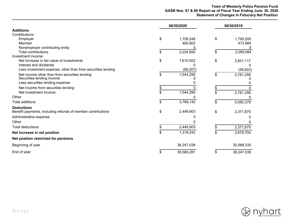## **Town of Westerly Police Pension Fund GASB Nos. 67 & 68 Report as of Fiscal Year Ending June 30, 2020 Statement of Changes in Fiduciary Net Position**

|                                                             | 06/30/2020 |            | 06/30/2019 |            |  |
|-------------------------------------------------------------|------------|------------|------------|------------|--|
| <b>Additions</b>                                            |            |            |            |            |  |
| Contributions:                                              |            |            |            |            |  |
| Employer                                                    | \$         | 1,759,248  | \$         | 1,795,200  |  |
| Member                                                      |            | 465,602    |            | 473,884    |  |
| Nonemployer contributing entity                             |            |            |            |            |  |
| <b>Total contributions</b>                                  | \$         | 2,224,850  | \$         | 2,269,084  |  |
| Investment income:                                          |            |            |            |            |  |
| Net increase in fair value of investments                   | \$         | 1,610,502  | \$         | 2,841,117  |  |
| Interest and dividends                                      |            |            |            |            |  |
| Less investment expense, other than from securities lending |            | (66, 207)  |            | (59, 822)  |  |
| Net income other than from securities lending               | \$         | 1,544,295  | \$         | 2,781,295  |  |
| Securities lending income                                   |            |            |            |            |  |
| Less securities lending expense                             |            |            |            |            |  |
| Net income from securities lending                          |            |            |            |            |  |
| Net investment income                                       |            | 1,544,295  | \$         | 2,781,295  |  |
| Other                                                       |            |            |            |            |  |
| <b>Total additions</b>                                      | \$         | 3,769,145  | \$         | 5,050,379  |  |
| <b>Deductions</b>                                           |            |            |            |            |  |
| Benefit payments, including refunds of member contributions | \$         | 2,449,903  | \$         | 2,371,675  |  |
| Administrative expense                                      |            |            |            |            |  |
| Other                                                       |            |            |            |            |  |
| <b>Total deductions</b>                                     |            | 2,449,903  |            | 2,371,675  |  |
| Net increase in net position                                | \$         | 1,319,242  | \$         | 2,678,704  |  |
| Net position restricted for pensions                        |            |            |            |            |  |
| Beginning of year                                           |            | 38,247,039 |            | 35,568,335 |  |
| End of year                                                 | \$         | 39,566,281 | \$         | 38,247,039 |  |

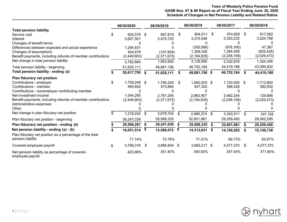# **Town of Westerly Police Pension Fund GASB Nos. 67 & 68 Report as of Fiscal Year Ending June 30, 2020 Schedule of Changes in Net Pension Liability and Related Ratios**

|                                                                     |    | 06/30/2020    |     | 06/30/2019  |      | 06/30/2018    |    | 06/30/2017    |      | 06/30/2016  |
|---------------------------------------------------------------------|----|---------------|-----|-------------|------|---------------|----|---------------|------|-------------|
| <b>Total pension liability</b>                                      |    |               |     |             |      |               |    |               |      |             |
| Service cost                                                        |    | 925,576 \$    |     | 957,819     | \$   | 904,511       | \$ | 974,655       | - \$ | 917,082     |
| Interest                                                            |    | 3,607,501     |     | 3,475,720   |      | 3,375,546     |    | 3,320,232     |      | 3,224,788   |
| Changes of benefit terms                                            |    |               |     |             |      |               |    |               |      |             |
| Differences between expected and actual experience                  |    | 1,294,831     |     |             |      | (355, 566)    |    | (978, 160)    |      | 47,387      |
| Changes of assumptions                                              |    | 404,679       |     | (107,909)   |      | 1,399,336     |    | 1,264,408     |      | (835, 428)  |
| Benefit payments, including refunds of member contributions         |    | (2,449,903)   |     | (2,371,675) |      | (2, 194, 835) |    | (2,248,159)   |      | (2,029,473) |
| Net change in total pension liability                               |    | 3,782,684     |     | 1,953,955   |      | 3,128,992     |    | 2,332,976     |      | 1,324,356   |
| Total pension liability - beginning                                 |    | 51,835,111    |     | 49,881,156  |      | 46,752,164    |    | 44,419,188    |      | 43,094,832  |
| Total pension liability - ending (a)                                |    | 55,617,795 \$ |     | 51,835,111  | \$   | 49,881,156 \$ |    | 46,752,164    | S.   | 44,419,188  |
| Plan fiduciary net position                                         |    |               |     |             |      |               |    |               |      |             |
| Contributions - employer                                            | \$ | 1,759,248 \$  |     | 1,795,200   | - \$ | 1,850,000 \$  |    | 1,720,000 \$  |      | 1,713,800   |
| Contributions - member                                              |    | 465,602       |     | 473,884     |      | 447,302       |    | 388,426       |      | 382,932     |
| Contributions - nonemployer contributing member                     |    |               |     |             |      |               |    |               |      |             |
| Net investment income                                               |    | 1,544,295     |     | 2,781,295   |      | 2,863,907     |    | 3,482,244     |      | 129,896     |
| Benefit payments, including refunds of member contributions         |    | (2,449,903)   |     | (2,371,675) |      | (2, 194, 835) |    | (2, 248, 159) |      | (2,029,473) |
| Administrative expenses                                             |    |               |     |             |      |               |    |               |      |             |
| Other                                                               |    |               |     |             |      |               |    |               |      |             |
| Net change in plan fiduciary net position                           | S  | 1,319,242     | \$  | 2,678,704   | \$   | 2,966,374 \$  |    | 3,342,511     | \$   | 197,155     |
| Plan fiduciary net position - beginning                             |    | 38,247,039    |     | 35,568,335  |      | 32,601,961    |    | 29,259,450    |      | 29,062,295  |
| Plan fiduciary net position - ending (b)                            |    | 39,566,281    | \$  | 38,247,039  | \$   | 35,568,335    | \$ | 32,601,961    | \$   | 29,259,450  |
| Net pension liability - ending (a) - (b)                            |    | 16,051,514    | \$  | 13,588,072  | \$   | 14,312,821    | S. | 14,150,203    | \$   | 15,159,738  |
| Plan fiduciary net position as a percentage of the total            |    |               |     |             |      |               |    |               |      |             |
| pension liability                                                   |    | 71.14%        |     | 73.79%      |      | 71.31%        |    | 69.73%        |      | 65.87%      |
| Covered-employee payroll                                            | \$ | 3,768,316     | -\$ | 3,866,804   | -\$  | 3,665,217 \$  |    | 4,077,370     | \$   | 4,077,370   |
| Net pension liability as percentage of covered-<br>employee payroll |    | 425.96%       |     | 351.40%     |      | 390.50%       |    | 347.04%       |      | 371.80%     |

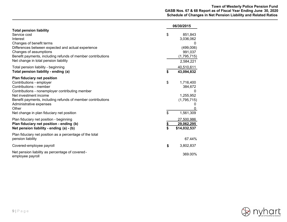|                                                                                                                                                                                                                                                                                                                      |          | 06/30/2015                                                                    |
|----------------------------------------------------------------------------------------------------------------------------------------------------------------------------------------------------------------------------------------------------------------------------------------------------------------------|----------|-------------------------------------------------------------------------------|
| <b>Total pension liability</b><br>Service cost<br>Interest<br>Changes of benefit terms<br>Differences between expected and actual experience<br>Changes of assumptions<br>Benefit payments, including refunds of member contributions<br>Net change in total pension liability                                       | \$       | 851,843<br>3,036,062<br>0<br>(499,006)<br>991,037<br>(1,795,715)<br>2,584,221 |
| Total pension liability - beginning<br>Total pension liability - ending (a)                                                                                                                                                                                                                                          | \$       | 40,510,611<br>43,094,832                                                      |
| <b>Plan fiduciary net position</b><br>Contributions - employer<br>Contributions - member<br>Contributions - nonemployer contributing member<br>Net investment income<br>Benefit payments, including refunds of member contributions<br>Administrative expenses<br>Other<br>Net change in plan fiduciary net position | \$<br>\$ | 1,716,400<br>384,672<br>0<br>1,255,952<br>(1,795,715)<br>1,561,309            |
| Plan fiduciary net position - beginning<br>Plan fiduciary net position - ending (b)<br>Net pension liability - ending (a) - (b)                                                                                                                                                                                      | \$<br>\$ | 27,500,986<br>29,062,295<br>\$14,032,537                                      |
| Plan fiduciary net position as a percentage of the total<br>pension liability                                                                                                                                                                                                                                        |          | 67.44%                                                                        |
| Covered-employee payroll                                                                                                                                                                                                                                                                                             | \$       | 3,802,837                                                                     |
| Net pension liability as percentage of covered-<br>employee payroll                                                                                                                                                                                                                                                  |          | 369.00%                                                                       |

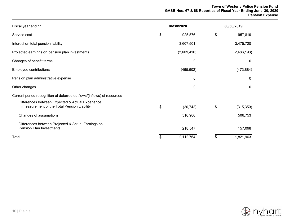### **Town of Westerly Police Pension Fund GASB Nos. 67 & 68 Report as of Fiscal Year Ending June 30, 2020 Pension Expense**

| Fiscal year ending                                                                                | 06/30/2020 |             | 06/30/2019       |
|---------------------------------------------------------------------------------------------------|------------|-------------|------------------|
| Service cost                                                                                      | \$         | 925,576     | \$<br>957,819    |
| Interest on total pension liability                                                               |            | 3,607,501   | 3,475,720        |
| Projected earnings on pension plan investments                                                    |            | (2,669,416) | (2,486,193)      |
| Changes of benefit terms                                                                          |            | 0           | 0                |
| Employee contributions                                                                            |            | (465, 602)  | (473, 884)       |
| Pension plan administrative expense                                                               |            | 0           | 0                |
| Other changes                                                                                     |            | 0           | 0                |
| Current period recognition of deferred outflows/(inflows) of resources                            |            |             |                  |
| Differences between Expected & Actual Experience<br>in measurement of the Total Pension Liability | \$         | (20, 742)   | \$<br>(315, 350) |
| Changes of assumptions                                                                            |            | 516,900     | 506,753          |
| Differences between Projected & Actual Earnings on<br><b>Pension Plan Investments</b>             |            | 218,547     | 157,098          |
| Total                                                                                             | \$         | 2,112,764   | \$<br>1,821,963  |

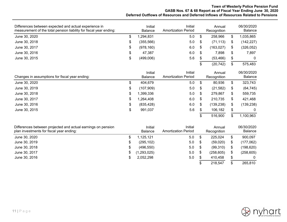# **Town of Westerly Police Pension Fund GASB Nos. 67 & 68 Report as of Fiscal Year Ending June 30, 2020 Deferred Outflows of Resources and Deferred Inflows of Resources Related to Pensions**

| Differences between expected and actual experience in<br>measurement of the total pension liability for fiscal year ending: |   | Initial<br><b>Balance</b> | Initial<br><b>Amortization Period</b> |    | Annual<br>Recognition | 06/30/2020<br>Balance |
|-----------------------------------------------------------------------------------------------------------------------------|---|---------------------------|---------------------------------------|----|-----------------------|-----------------------|
| June 30, 2020                                                                                                               |   | ,294,831                  | 5.0                                   |    | 258,966               | .035,865              |
| June 30, 2018                                                                                                               | S | (355, 566)                | 5.0                                   |    | (71, 113)             | (142, 227)            |
| June 30, 2017                                                                                                               | ง | (978, 160)                | 6.0                                   | S  | (163, 027)            | (326, 052)            |
| June 30, 2016                                                                                                               |   | 47,387                    | 6.0                                   |    | 7,898                 | 7,897                 |
| June 30, 2015                                                                                                               |   | (499,006)                 | 5.6                                   | \$ | (53, 466)             | 0                     |
|                                                                                                                             |   |                           |                                       |    | (20, 742)             | 575,483               |

| Changes in assumptions for fiscal year ending: |    | Initial<br><b>Balance</b> | Initial<br>Amortization Period |    | Annual<br>Recognition |    | 06/30/2020<br><b>Balance</b> |
|------------------------------------------------|----|---------------------------|--------------------------------|----|-----------------------|----|------------------------------|
| June 30, 2020                                  | S  | 404.679                   | 5.0                            | \$ | 80,936                |    | 323,743                      |
| June 30, 2019                                  | \$ | (107,909)                 | 5.0                            | \$ | (21, 582)             | S  | (64, 745)                    |
| June 30, 2018                                  | \$ | ,399,336                  | 5.0                            | \$ | 279,867               | S  | 559,735                      |
| June 30, 2017                                  | S  | .264,408                  | 6.0                            | S  | 210,735               |    | 421,468                      |
| June 30, 2016                                  | \$ | (835, 428)                | 6.0                            | S  | (139, 238)            | Œ  | (139, 238)                   |
| June 30, 2015                                  | \$ | 991,037                   | 5.6                            | \$ | 106,182               | \$ | $\mathbf{0}$                 |
|                                                |    |                           |                                |    | 516,900               |    | 1,100,963                    |

| Differences between projected and actual earnings on pension<br>plan investments for fiscal year ending: |   | Initial<br><b>Balance</b> | Initial<br><b>Amortization Period</b> |     | Annual<br>Recognition | 06/30/2020<br>Balance |
|----------------------------------------------------------------------------------------------------------|---|---------------------------|---------------------------------------|-----|-----------------------|-----------------------|
| June 30, 2020                                                                                            |   | ,125,121                  | 5.0                                   |     | 225,024               | 900,097               |
| June 30, 2019                                                                                            | S | (295, 102)                | 5.0                                   |     | (59,020)              | (177,062)             |
| June 30, 2018                                                                                            | S | (496, 550)                | 5.0                                   | \$  | (99,310)              | (198, 620)            |
| June 30, 2017                                                                                            | S | (1, 293, 025)             | 5.0                                   | \$  | (258, 605)            | (258, 605)            |
| June 30, 2016                                                                                            |   | 2,052,298                 | 5.0                                   | \$. | 410,458               |                       |
|                                                                                                          |   |                           |                                       |     | 218,547               | 265,810               |

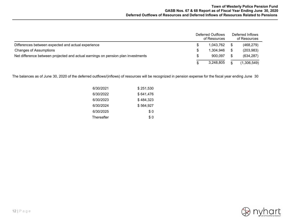|                                                                                  |  | Deferred Outflows<br>of Resources | Deferred Inflows<br>of Resources |
|----------------------------------------------------------------------------------|--|-----------------------------------|----------------------------------|
| Differences between expected and actual experience                               |  | 1.043.762                         | (468, 279)                       |
| <b>Changes of Assumptions</b>                                                    |  | 1.304.946                         | (203, 983)                       |
| Net difference between projected and actual earnings on pension plan investments |  | 900.097                           | (634, 287)                       |
|                                                                                  |  | 3,248,805                         | (1,306,549)                      |

The balances as of June 30, 2020 of the deferred outflows/(inflows) of resources will be recognized in pension expense for the fiscal year ending June 30.

| 6/30/2021         | \$251,530 |
|-------------------|-----------|
| 6/30/2022         | \$641,476 |
| 6/30/2023         | \$484,323 |
| 6/30/2024         | \$564,927 |
| 6/30/2025         | \$0       |
| <b>Thereafter</b> | \$ 0      |

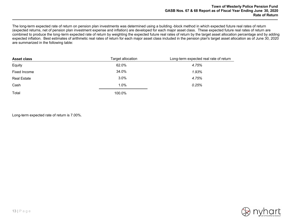The long-term expected rate of return on pension plan investments was determined using a building -block method in which expected future real rates of return (expected returns, net of pension plan investment expense and inflation) are developed for each major asset class. These expected future real rates of return are combined to produce the long-term expected rate of return by weighting the expected future real rates of return by the target asset allocation percentage and by adding expected inflation. Best estimates of arithmetic real rates of return for each major asset class included in the pension plan's target asset allocation as of June 30, 2020 are summarized in the following table:

| <b>Asset class</b> | Target allocation | Long-term expected real rate of return |
|--------------------|-------------------|----------------------------------------|
| Equity             | 62.0%             | 4.75%                                  |
| Fixed Income       | 34.0%             | 1.93%                                  |
| <b>Real Estate</b> | 3.0%              | 4.75%                                  |
| Cash               | 1.0%              | 0.25%                                  |
| Total              | 100.0%            |                                        |

Long-term expected rate of return is 7.00%.

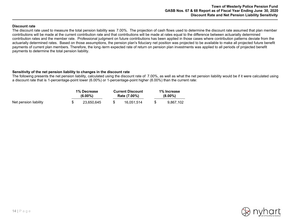#### **Discount rate**

The discount rate used to measure the total pension liability was 7.00%. The projection of cash flows used to determine the discount rate assumed that plan member contributions will be made at the current contribution rate and that contributions will be made at rates equal to the difference between actuarially determined contribution rates and the member rate. Professional judgment on future contributions has been applied in those cases where contribution patterns deviate from the actuarially determined rates. Based on those assumptions, the pension plan's fiduciary net position was projected to be available to make all projected future benefit payments of current plan members. Therefore, the long-term expected rate of return on pension plan investments was applied to all periods of projected benefit payments to determine the total pension liability.

#### **Sensitivity of the net pension liability to changes in the discount rate**

The following presents the net pension liability, calculated using the discount rate of 7.00%, as well as what the net pension liability would be if it were calculated using a discount rate that is 1-percentage-point lower (6.00%) or 1-percentage-point higher (8.00%) than the current rate:

|                       | <b>1% Decrease</b><br>$(6.00\%)$ |  | <b>Current Discount</b><br>Rate (7.00%) | 1% Increase<br>$(8.00\%)$ |  |  |
|-----------------------|----------------------------------|--|-----------------------------------------|---------------------------|--|--|
| Net pension liability | 23.650.645                       |  | 16.051.514                              | 9.867.102                 |  |  |

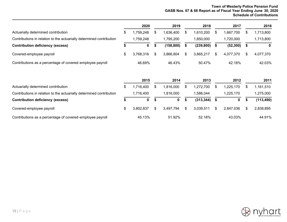# **Town of Westerly Police Pension Fund GASB Nos. 67 & 68 Report as of Fiscal Year Ending June 30, 2020 Schedule of Contributions**

45.13% 51.92% 52.18% 43.03% 44.91%

|                                                                      | 2020            |    | 2019        |     | 2018       |    | 2017      |    | 2016        |
|----------------------------------------------------------------------|-----------------|----|-------------|-----|------------|----|-----------|----|-------------|
| Actuarially determined contribution                                  | \$<br>1,759,248 | \$ | 1,636,400   | \$  | 1,610,200  | S. | 1,667,700 | S  | 1,713,800   |
| Contributions in relation to the actuarially determined contribution | 1,759,248       |    | 1,795,200   |     | 1,850,000  |    | 1,720,000 |    | 1,713,800   |
| <b>Contribution deficiency (excess)</b>                              | \$<br>0         | \$ | (158, 800)  | \$  | (239, 800) | \$ | (52, 300) | S  | $\mathbf 0$ |
| Covered-employee payroll                                             | \$<br>3,768,316 | S  | 3,866,804   | \$  | 3,665,217  | \$ | 4,077,370 | \$ | 4,077,370   |
| Contributions as a percentage of covered-employee payroll            | 46.69%          |    | 46.43%      |     | 50.47%     |    | 42.18%    |    | 42.03%      |
|                                                                      | 2015            |    | 2014        |     | 2013       |    | 2012      |    | 2011        |
| Actuarially determined contribution                                  | \$<br>1,716,400 | \$ | 1,816,000   | \$. | 1,272,700  | \$ | 1,225,170 | \$ | 1,161,510   |
| Contributions in relation to the actuarially determined contribution | 1,716,400       |    | 1,816,000   |     | 1,586,044  |    | 1,225,170 |    | 1,275,000   |
| <b>Contribution deficiency (excess)</b>                              | \$<br>0         | \$ | $\mathbf 0$ | \$  | (313, 344) | \$ | 0         | \$ | (113, 490)  |
| Covered-employee payroll                                             | \$<br>3,802,837 | \$ | 3,497,794   | \$  | 3,039,511  | \$ | 2,847,036 | \$ | 2,838,895   |

Contributions as a percentage of covered-employee payroll

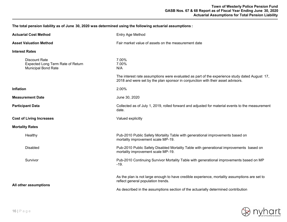**The total pension liability as of June 30, 2020 was determined using the following actuarial assumptions :**

| <b>Actuarial Cost Method</b>                                                            | Entry Age Method                                                                                                                                                                 |  |  |  |  |  |
|-----------------------------------------------------------------------------------------|----------------------------------------------------------------------------------------------------------------------------------------------------------------------------------|--|--|--|--|--|
| <b>Asset Valuation Method</b>                                                           | Fair market value of assets on the measurement date                                                                                                                              |  |  |  |  |  |
| <b>Interest Rates</b>                                                                   |                                                                                                                                                                                  |  |  |  |  |  |
| <b>Discount Rate</b><br>Expected Long Term Rate of Return<br><b>Municipal Bond Rate</b> | 7.00%<br>7.00%<br>N/A                                                                                                                                                            |  |  |  |  |  |
|                                                                                         | The interest rate assumptions were evaluated as part of the experience study dated August 17,<br>2018 and were set by the plan sponsor in conjunction with their asset advisors. |  |  |  |  |  |
| Inflation                                                                               | 2.00%                                                                                                                                                                            |  |  |  |  |  |
| <b>Measurement Date</b>                                                                 | June 30, 2020                                                                                                                                                                    |  |  |  |  |  |
| <b>Participant Data</b>                                                                 | Collected as of July 1, 2019, rolled forward and adjusted for material events to the measurement<br>date.                                                                        |  |  |  |  |  |
| <b>Cost of Living Increases</b>                                                         | Valued explicitly                                                                                                                                                                |  |  |  |  |  |
| <b>Mortality Rates</b>                                                                  |                                                                                                                                                                                  |  |  |  |  |  |
| Healthy                                                                                 | Pub-2010 Public Safety Mortality Table with generational improvements based on<br>mortality improvement scale MP-19.                                                             |  |  |  |  |  |
| <b>Disabled</b>                                                                         | Pub-2010 Public Safety Disabled Mortality Table with generational improvements based on<br>mortality improvement scale MP-19.                                                    |  |  |  |  |  |
| Survivor                                                                                | Pub-2010 Continuing Survivor Mortality Table with generational improvements based on MP<br>$-19.$                                                                                |  |  |  |  |  |
| All other assumptions                                                                   | As the plan is not large enough to have credible experience, mortality assumptions are set to<br>reflect general population trends.                                              |  |  |  |  |  |
|                                                                                         | As described in the assumptions section of the actuarially determined contribution                                                                                               |  |  |  |  |  |

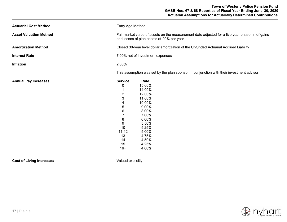| <b>Actuarial Cost Method</b>  | Entry Age Method                                                                                                                             |                                                                                                                                                           |  |
|-------------------------------|----------------------------------------------------------------------------------------------------------------------------------------------|-----------------------------------------------------------------------------------------------------------------------------------------------------------|--|
| <b>Asset Valuation Method</b> | Fair market value of assets on the measurement date adjusted for a five year phase -in of gains<br>and losses of plan assets at 20% per year |                                                                                                                                                           |  |
| <b>Amortization Method</b>    |                                                                                                                                              | Closed 30-year level dollar amortization of the Unfunded Actuarial Accrued Liability                                                                      |  |
| <b>Interest Rate</b>          |                                                                                                                                              | 7.00% net of investment expenses                                                                                                                          |  |
| Inflation                     | 2.00%                                                                                                                                        |                                                                                                                                                           |  |
|                               |                                                                                                                                              | This assumption was set by the plan sponsor in conjunction with their investment advisor.                                                                 |  |
| <b>Annual Pay Increases</b>   | <b>Service</b><br>0<br>$\overline{2}$<br>3<br>4<br>5<br>6<br>7<br>8<br>9<br>10<br>$11 - 12$<br>13<br>14<br>15<br>$16+$                       | Rate<br>15.00%<br>14.00%<br>12.00%<br>11.00%<br>10.00%<br>9.00%<br>8.00%<br>7.00%<br>6.00%<br>5.50%<br>5.25%<br>5.00%<br>4.75%<br>4.50%<br>4.25%<br>4.00% |  |

**Cost of Living Increases Valued explicitly** 

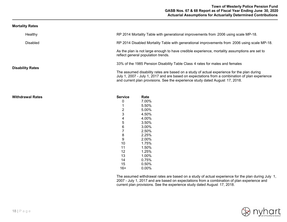## **Town of Westerly Police Pension Fund GASB Nos. 67 & 68 Report as of Fiscal Year Ending June 30, 2020 Actuarial Assumptions for Actuarially Determined Contributions**

#### **Mortality Rates**

| Healthy                 |                | RP 2014 Mortality Table with generational improvements from 2006 using scale MP-18.                                                                                                                                                                                           |
|-------------------------|----------------|-------------------------------------------------------------------------------------------------------------------------------------------------------------------------------------------------------------------------------------------------------------------------------|
| <b>Disabled</b>         |                | RP 2014 Disabled Mortality Table with generational improvements from 2006 using scale MP-18.                                                                                                                                                                                  |
|                         |                | As the plan is not large enough to have credible experience, mortality assumptions are set to<br>reflect general population trends.                                                                                                                                           |
|                         |                | 33% of the 1985 Pension Disability Table Class 4 rates for males and females                                                                                                                                                                                                  |
| <b>Disability Rates</b> |                | The assumed disability rates are based on a study of actual experience for the plan during<br>July 1, 2007 - July 1, 2017 and are based on expectations from a combination of plan experience<br>and current plan provisions. See the experience study dated August 17, 2018. |
| <b>Withdrawal Rates</b> | <b>Service</b> | Rate                                                                                                                                                                                                                                                                          |
|                         | 0              | 7.00%<br>5.50%                                                                                                                                                                                                                                                                |
|                         | $\overline{2}$ | 5.00%                                                                                                                                                                                                                                                                         |
|                         | 3              | 4.50%                                                                                                                                                                                                                                                                         |
|                         | 4              | 4.00%                                                                                                                                                                                                                                                                         |
|                         | 5              | 3.50%                                                                                                                                                                                                                                                                         |
|                         | 6              | 3.00%                                                                                                                                                                                                                                                                         |
|                         | $\overline{7}$ | 2.50%                                                                                                                                                                                                                                                                         |
|                         | 8              | 2.25%                                                                                                                                                                                                                                                                         |
|                         | 9              | 2.00%                                                                                                                                                                                                                                                                         |
|                         | 10             | 1.75%                                                                                                                                                                                                                                                                         |
|                         | 11             | 1.50%                                                                                                                                                                                                                                                                         |
|                         | 12             | 1.25%                                                                                                                                                                                                                                                                         |
|                         | 13             | 1.00%                                                                                                                                                                                                                                                                         |
|                         | 14<br>15       | 0.75%<br>0.50%                                                                                                                                                                                                                                                                |
|                         | $16+$          | 0.00%                                                                                                                                                                                                                                                                         |
|                         |                |                                                                                                                                                                                                                                                                               |

The assumed withdrawal rates are based on a study of actual experience for the plan during July 1, 2007 - July 1, 2017 and are based on expectations from a combination of plan experience and current plan provisions. See the experience study dated August 17, 2018.

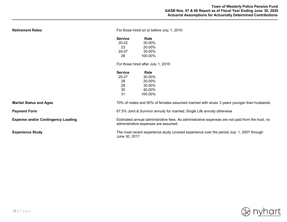| <b>Retirement Rates</b>                   | For those hired on or before July 1, 2010:                                                                                               |                                                                                                |  |
|-------------------------------------------|------------------------------------------------------------------------------------------------------------------------------------------|------------------------------------------------------------------------------------------------|--|
|                                           | <b>Service</b><br>$20 - 22$<br>23<br>24-27<br>28                                                                                         | Rate<br>30.00%<br>20.00%<br>30.00%<br>100.00%                                                  |  |
|                                           | <b>Service</b><br>25-27<br>28<br>29<br>30<br>31                                                                                          | For those hired after July 1, 2010:<br>Rate<br>30.00%<br>20.00%<br>30.00%<br>40.00%<br>100.00% |  |
| <b>Marital Status and Ages</b>            |                                                                                                                                          | 70% of males and 60% of females assumed married with wives 3 years younger than husbands       |  |
| <b>Payment Form</b>                       | 67.5% Joint & Survivor annuity for married; Single Life annuity otherwise                                                                |                                                                                                |  |
| <b>Expense and/or Contingency Loading</b> | Estimated annual administrative fees. As administrative expenses are not paid from the trust, no<br>administrative expenses are assumed. |                                                                                                |  |
| <b>Experience Study</b>                   | The most recent experience study covered experience over the period July 1, 2007 through<br>June 30, 2017                                |                                                                                                |  |

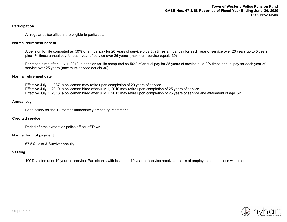## **Participation**

All regular police officers are eligible to participate.

#### **Normal retirement benefit**

A pension for life computed as 50% of annual pay for 20 years of service plus 2% times annual pay for each year of service over 20 years up to 5 years plus 1% times annual pay for each year of service over 25 years (maximum service equals 30)

For those hired after July 1, 2010, a pension for life computed as 50% of annual pay for 25 years of service plus 3% times annual pay for each year of service over 25 years (maximum service equals 30)

#### **Normal retirement date**

Effective July 1, 1987, a policeman may retire upon completion of 20 years of service Effective July 1, 2010, a policeman hired after July 1, 2010 may retire upon completion of 25 years of service Effective July 1, 2013, a policeman hired after July 1, 2013 may retire upon completion of 25 years of service and attainment of age 52

#### **Annual pay**

Base salary for the 12 months immediately preceding retirement

#### **Credited service**

Period of employment as police officer of Town

#### **Normal form of payment**

67.5% Joint & Survivor annuity

#### **Vesting**

100% vested after 10 years of service. Participants with less than 10 years of service receive a return of employee contributions with interest.